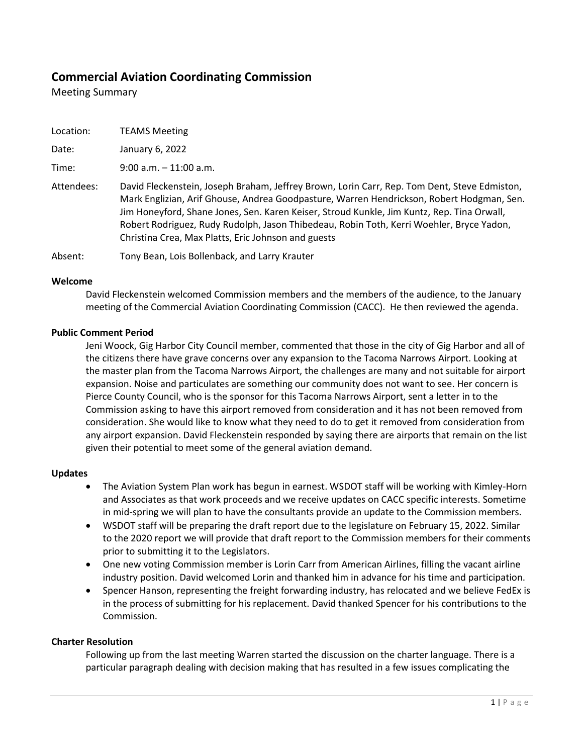# **Commercial Aviation Coordinating Commission**

Meeting Summary

| Location: | <b>TEAMS Meeting</b> |
|-----------|----------------------|
|           |                      |

Date: January 6, 2022

Time: 9:00 a.m. – 11:00 a.m.

Attendees: David Fleckenstein, Joseph Braham, Jeffrey Brown, Lorin Carr, Rep. Tom Dent, Steve Edmiston, Mark Englizian, Arif Ghouse, Andrea Goodpasture, Warren Hendrickson, Robert Hodgman, Sen. Jim Honeyford, Shane Jones, Sen. Karen Keiser, Stroud Kunkle, Jim Kuntz, Rep. Tina Orwall, Robert Rodriguez, Rudy Rudolph, Jason Thibedeau, Robin Toth, Kerri Woehler, Bryce Yadon, Christina Crea, Max Platts, Eric Johnson and guests

Absent: Tony Bean, Lois Bollenback, and Larry Krauter

### **Welcome**

David Fleckenstein welcomed Commission members and the members of the audience, to the January meeting of the Commercial Aviation Coordinating Commission (CACC). He then reviewed the agenda.

# **Public Comment Period**

Jeni Woock, Gig Harbor City Council member, commented that those in the city of Gig Harbor and all of the citizens there have grave concerns over any expansion to the Tacoma Narrows Airport. Looking at the master plan from the Tacoma Narrows Airport, the challenges are many and not suitable for airport expansion. Noise and particulates are something our community does not want to see. Her concern is Pierce County Council, who is the sponsor for this Tacoma Narrows Airport, sent a letter in to the Commission asking to have this airport removed from consideration and it has not been removed from consideration. She would like to know what they need to do to get it removed from consideration from any airport expansion. David Fleckenstein responded by saying there are airports that remain on the list given their potential to meet some of the general aviation demand.

# **Updates**

- The Aviation System Plan work has begun in earnest. WSDOT staff will be working with Kimley-Horn and Associates as that work proceeds and we receive updates on CACC specific interests. Sometime in mid-spring we will plan to have the consultants provide an update to the Commission members.
- WSDOT staff will be preparing the draft report due to the legislature on February 15, 2022. Similar to the 2020 report we will provide that draft report to the Commission members for their comments prior to submitting it to the Legislators.
- One new voting Commission member is Lorin Carr from American Airlines, filling the vacant airline industry position. David welcomed Lorin and thanked him in advance for his time and participation.
- Spencer Hanson, representing the freight forwarding industry, has relocated and we believe FedEx is in the process of submitting for his replacement. David thanked Spencer for his contributions to the Commission.

# **Charter Resolution**

Following up from the last meeting Warren started the discussion on the charter language. There is a particular paragraph dealing with decision making that has resulted in a few issues complicating the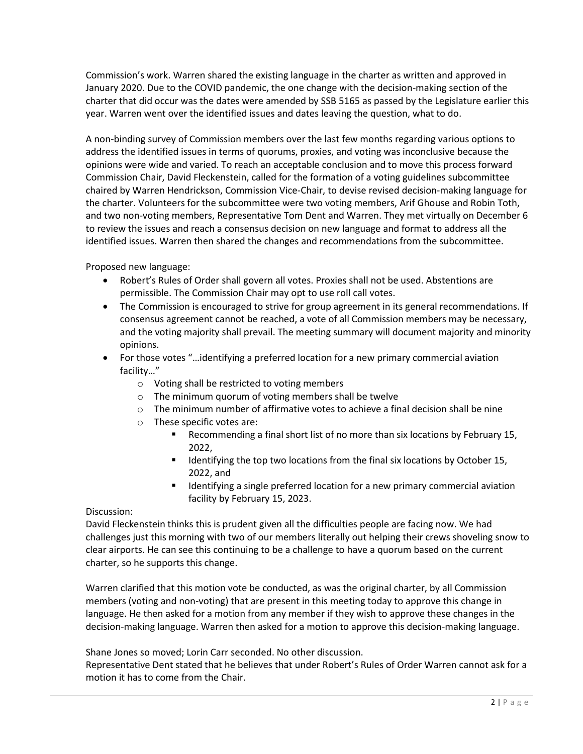Commission's work. Warren shared the existing language in the charter as written and approved in January 2020. Due to the COVID pandemic, the one change with the decision-making section of the charter that did occur was the dates were amended by SSB 5165 as passed by the Legislature earlier this year. Warren went over the identified issues and dates leaving the question, what to do.

A non-binding survey of Commission members over the last few months regarding various options to address the identified issues in terms of quorums, proxies, and voting was inconclusive because the opinions were wide and varied. To reach an acceptable conclusion and to move this process forward Commission Chair, David Fleckenstein, called for the formation of a voting guidelines subcommittee chaired by Warren Hendrickson, Commission Vice-Chair, to devise revised decision-making language for the charter. Volunteers for the subcommittee were two voting members, Arif Ghouse and Robin Toth, and two non-voting members, Representative Tom Dent and Warren. They met virtually on December 6 to review the issues and reach a consensus decision on new language and format to address all the identified issues. Warren then shared the changes and recommendations from the subcommittee.

Proposed new language:

- Robert's Rules of Order shall govern all votes. Proxies shall not be used. Abstentions are permissible. The Commission Chair may opt to use roll call votes.
- The Commission is encouraged to strive for group agreement in its general recommendations. If consensus agreement cannot be reached, a vote of all Commission members may be necessary, and the voting majority shall prevail. The meeting summary will document majority and minority opinions.
- For those votes "…identifying a preferred location for a new primary commercial aviation facility…"
	- o Voting shall be restricted to voting members
	- o The minimum quorum of voting members shall be twelve
	- $\circ$  The minimum number of affirmative votes to achieve a final decision shall be nine
	- o These specific votes are:
		- Recommending a final short list of no more than six locations by February 15, 2022,
		- Identifying the top two locations from the final six locations by October 15, 2022, and
		- Identifying a single preferred location for a new primary commercial aviation facility by February 15, 2023.

# Discussion:

David Fleckenstein thinks this is prudent given all the difficulties people are facing now. We had challenges just this morning with two of our members literally out helping their crews shoveling snow to clear airports. He can see this continuing to be a challenge to have a quorum based on the current charter, so he supports this change.

Warren clarified that this motion vote be conducted, as was the original charter, by all Commission members (voting and non-voting) that are present in this meeting today to approve this change in language. He then asked for a motion from any member if they wish to approve these changes in the decision-making language. Warren then asked for a motion to approve this decision-making language.

Shane Jones so moved; Lorin Carr seconded. No other discussion.

Representative Dent stated that he believes that under Robert's Rules of Order Warren cannot ask for a motion it has to come from the Chair.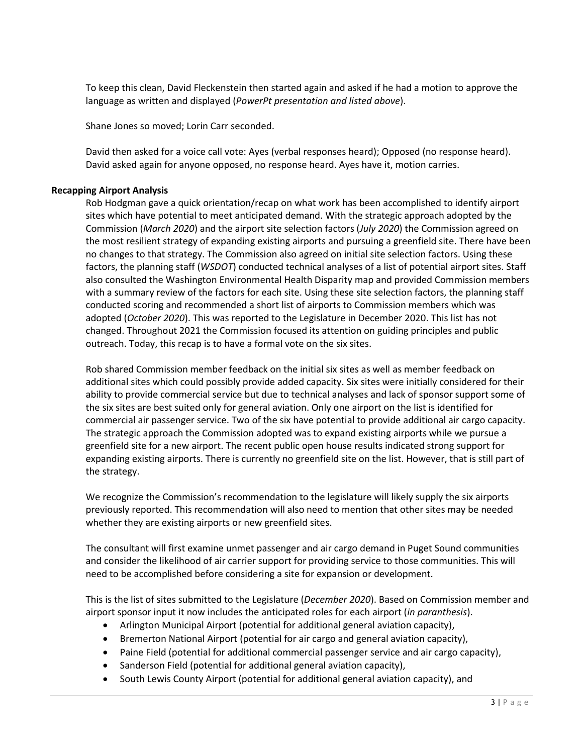To keep this clean, David Fleckenstein then started again and asked if he had a motion to approve the language as written and displayed (*PowerPt presentation and listed above*).

Shane Jones so moved; Lorin Carr seconded.

David then asked for a voice call vote: Ayes (verbal responses heard); Opposed (no response heard). David asked again for anyone opposed, no response heard. Ayes have it, motion carries.

### **Recapping Airport Analysis**

Rob Hodgman gave a quick orientation/recap on what work has been accomplished to identify airport sites which have potential to meet anticipated demand. With the strategic approach adopted by the Commission (*March 2020*) and the airport site selection factors (*July 2020*) the Commission agreed on the most resilient strategy of expanding existing airports and pursuing a greenfield site. There have been no changes to that strategy. The Commission also agreed on initial site selection factors. Using these factors, the planning staff (*WSDOT*) conducted technical analyses of a list of potential airport sites. Staff also consulted the Washington Environmental Health Disparity map and provided Commission members with a summary review of the factors for each site. Using these site selection factors, the planning staff conducted scoring and recommended a short list of airports to Commission members which was adopted (*October 2020*). This was reported to the Legislature in December 2020. This list has not changed. Throughout 2021 the Commission focused its attention on guiding principles and public outreach. Today, this recap is to have a formal vote on the six sites.

Rob shared Commission member feedback on the initial six sites as well as member feedback on additional sites which could possibly provide added capacity. Six sites were initially considered for their ability to provide commercial service but due to technical analyses and lack of sponsor support some of the six sites are best suited only for general aviation. Only one airport on the list is identified for commercial air passenger service. Two of the six have potential to provide additional air cargo capacity. The strategic approach the Commission adopted was to expand existing airports while we pursue a greenfield site for a new airport. The recent public open house results indicated strong support for expanding existing airports. There is currently no greenfield site on the list. However, that is still part of the strategy.

We recognize the Commission's recommendation to the legislature will likely supply the six airports previously reported. This recommendation will also need to mention that other sites may be needed whether they are existing airports or new greenfield sites.

The consultant will first examine unmet passenger and air cargo demand in Puget Sound communities and consider the likelihood of air carrier support for providing service to those communities. This will need to be accomplished before considering a site for expansion or development.

This is the list of sites submitted to the Legislature (*December 2020*). Based on Commission member and airport sponsor input it now includes the anticipated roles for each airport (*in paranthesis*).

- Arlington Municipal Airport (potential for additional general aviation capacity),
- Bremerton National Airport (potential for air cargo and general aviation capacity),
- Paine Field (potential for additional commercial passenger service and air cargo capacity),
- Sanderson Field (potential for additional general aviation capacity),
- South Lewis County Airport (potential for additional general aviation capacity), and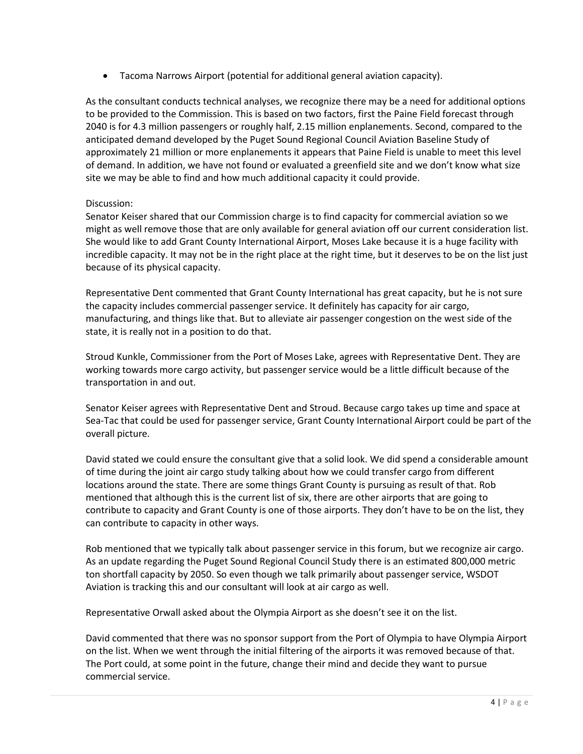• Tacoma Narrows Airport (potential for additional general aviation capacity).

As the consultant conducts technical analyses, we recognize there may be a need for additional options to be provided to the Commission. This is based on two factors, first the Paine Field forecast through 2040 is for 4.3 million passengers or roughly half, 2.15 million enplanements. Second, compared to the anticipated demand developed by the Puget Sound Regional Council Aviation Baseline Study of approximately 21 million or more enplanements it appears that Paine Field is unable to meet this level of demand. In addition, we have not found or evaluated a greenfield site and we don't know what size site we may be able to find and how much additional capacity it could provide.

# Discussion:

Senator Keiser shared that our Commission charge is to find capacity for commercial aviation so we might as well remove those that are only available for general aviation off our current consideration list. She would like to add Grant County International Airport, Moses Lake because it is a huge facility with incredible capacity. It may not be in the right place at the right time, but it deserves to be on the list just because of its physical capacity.

Representative Dent commented that Grant County International has great capacity, but he is not sure the capacity includes commercial passenger service. It definitely has capacity for air cargo, manufacturing, and things like that. But to alleviate air passenger congestion on the west side of the state, it is really not in a position to do that.

Stroud Kunkle, Commissioner from the Port of Moses Lake, agrees with Representative Dent. They are working towards more cargo activity, but passenger service would be a little difficult because of the transportation in and out.

Senator Keiser agrees with Representative Dent and Stroud. Because cargo takes up time and space at Sea-Tac that could be used for passenger service, Grant County International Airport could be part of the overall picture.

David stated we could ensure the consultant give that a solid look. We did spend a considerable amount of time during the joint air cargo study talking about how we could transfer cargo from different locations around the state. There are some things Grant County is pursuing as result of that. Rob mentioned that although this is the current list of six, there are other airports that are going to contribute to capacity and Grant County is one of those airports. They don't have to be on the list, they can contribute to capacity in other ways.

Rob mentioned that we typically talk about passenger service in this forum, but we recognize air cargo. As an update regarding the Puget Sound Regional Council Study there is an estimated 800,000 metric ton shortfall capacity by 2050. So even though we talk primarily about passenger service, WSDOT Aviation is tracking this and our consultant will look at air cargo as well.

Representative Orwall asked about the Olympia Airport as she doesn't see it on the list.

David commented that there was no sponsor support from the Port of Olympia to have Olympia Airport on the list. When we went through the initial filtering of the airports it was removed because of that. The Port could, at some point in the future, change their mind and decide they want to pursue commercial service.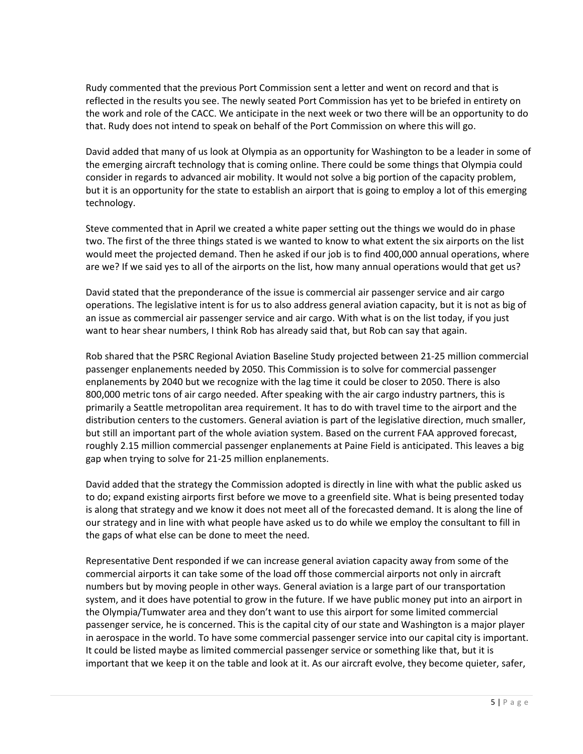Rudy commented that the previous Port Commission sent a letter and went on record and that is reflected in the results you see. The newly seated Port Commission has yet to be briefed in entirety on the work and role of the CACC. We anticipate in the next week or two there will be an opportunity to do that. Rudy does not intend to speak on behalf of the Port Commission on where this will go.

David added that many of us look at Olympia as an opportunity for Washington to be a leader in some of the emerging aircraft technology that is coming online. There could be some things that Olympia could consider in regards to advanced air mobility. It would not solve a big portion of the capacity problem, but it is an opportunity for the state to establish an airport that is going to employ a lot of this emerging technology.

Steve commented that in April we created a white paper setting out the things we would do in phase two. The first of the three things stated is we wanted to know to what extent the six airports on the list would meet the projected demand. Then he asked if our job is to find 400,000 annual operations, where are we? If we said yes to all of the airports on the list, how many annual operations would that get us?

David stated that the preponderance of the issue is commercial air passenger service and air cargo operations. The legislative intent is for us to also address general aviation capacity, but it is not as big of an issue as commercial air passenger service and air cargo. With what is on the list today, if you just want to hear shear numbers, I think Rob has already said that, but Rob can say that again.

Rob shared that the PSRC Regional Aviation Baseline Study projected between 21-25 million commercial passenger enplanements needed by 2050. This Commission is to solve for commercial passenger enplanements by 2040 but we recognize with the lag time it could be closer to 2050. There is also 800,000 metric tons of air cargo needed. After speaking with the air cargo industry partners, this is primarily a Seattle metropolitan area requirement. It has to do with travel time to the airport and the distribution centers to the customers. General aviation is part of the legislative direction, much smaller, but still an important part of the whole aviation system. Based on the current FAA approved forecast, roughly 2.15 million commercial passenger enplanements at Paine Field is anticipated. This leaves a big gap when trying to solve for 21-25 million enplanements.

David added that the strategy the Commission adopted is directly in line with what the public asked us to do; expand existing airports first before we move to a greenfield site. What is being presented today is along that strategy and we know it does not meet all of the forecasted demand. It is along the line of our strategy and in line with what people have asked us to do while we employ the consultant to fill in the gaps of what else can be done to meet the need.

Representative Dent responded if we can increase general aviation capacity away from some of the commercial airports it can take some of the load off those commercial airports not only in aircraft numbers but by moving people in other ways. General aviation is a large part of our transportation system, and it does have potential to grow in the future. If we have public money put into an airport in the Olympia/Tumwater area and they don't want to use this airport for some limited commercial passenger service, he is concerned. This is the capital city of our state and Washington is a major player in aerospace in the world. To have some commercial passenger service into our capital city is important. It could be listed maybe as limited commercial passenger service or something like that, but it is important that we keep it on the table and look at it. As our aircraft evolve, they become quieter, safer,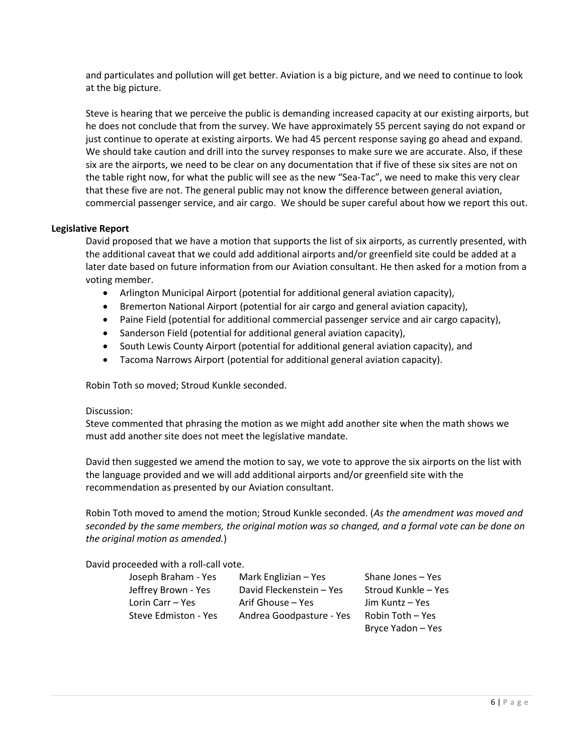and particulates and pollution will get better. Aviation is a big picture, and we need to continue to look at the big picture.

Steve is hearing that we perceive the public is demanding increased capacity at our existing airports, but he does not conclude that from the survey. We have approximately 55 percent saying do not expand or just continue to operate at existing airports. We had 45 percent response saying go ahead and expand. We should take caution and drill into the survey responses to make sure we are accurate. Also, if these six are the airports, we need to be clear on any documentation that if five of these six sites are not on the table right now, for what the public will see as the new "Sea-Tac", we need to make this very clear that these five are not. The general public may not know the difference between general aviation, commercial passenger service, and air cargo. We should be super careful about how we report this out.

### **Legislative Report**

David proposed that we have a motion that supports the list of six airports, as currently presented, with the additional caveat that we could add additional airports and/or greenfield site could be added at a later date based on future information from our Aviation consultant. He then asked for a motion from a voting member.

- Arlington Municipal Airport (potential for additional general aviation capacity),
- Bremerton National Airport (potential for air cargo and general aviation capacity),
- Paine Field (potential for additional commercial passenger service and air cargo capacity),
- Sanderson Field (potential for additional general aviation capacity),
- South Lewis County Airport (potential for additional general aviation capacity), and
- Tacoma Narrows Airport (potential for additional general aviation capacity).

Robin Toth so moved; Stroud Kunkle seconded.

#### Discussion:

Steve commented that phrasing the motion as we might add another site when the math shows we must add another site does not meet the legislative mandate.

David then suggested we amend the motion to say, we vote to approve the six airports on the list with the language provided and we will add additional airports and/or greenfield site with the recommendation as presented by our Aviation consultant.

Robin Toth moved to amend the motion; Stroud Kunkle seconded. (*As the amendment was moved and seconded by the same members, the original motion was so changed, and a formal vote can be done on the original motion as amended.*)

David proceeded with a roll-call vote.

| Joseph Braham - Yes  | Mark Englizian - Yes     | Shane Jones - Yes   |
|----------------------|--------------------------|---------------------|
| Jeffrey Brown - Yes  | David Fleckenstein - Yes | Stroud Kunkle - Yes |
| Lorin Carr - Yes     | Arif Ghouse – Yes        | Jim Kuntz – Yes     |
| Steve Edmiston - Yes | Andrea Goodpasture - Yes | Robin Toth - Yes    |
|                      |                          | Bryce Yadon - Yes   |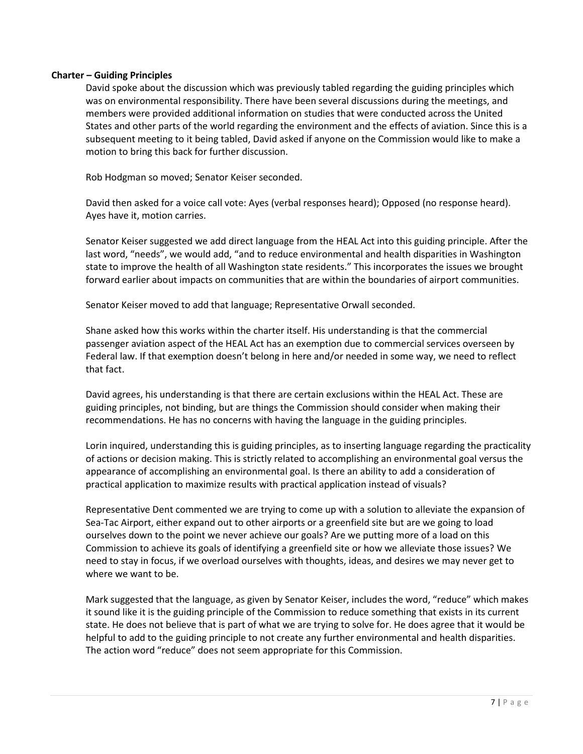### **Charter – Guiding Principles**

David spoke about the discussion which was previously tabled regarding the guiding principles which was on environmental responsibility. There have been several discussions during the meetings, and members were provided additional information on studies that were conducted across the United States and other parts of the world regarding the environment and the effects of aviation. Since this is a subsequent meeting to it being tabled, David asked if anyone on the Commission would like to make a motion to bring this back for further discussion.

Rob Hodgman so moved; Senator Keiser seconded.

David then asked for a voice call vote: Ayes (verbal responses heard); Opposed (no response heard). Ayes have it, motion carries.

Senator Keiser suggested we add direct language from the HEAL Act into this guiding principle. After the last word, "needs", we would add, "and to reduce environmental and health disparities in Washington state to improve the health of all Washington state residents." This incorporates the issues we brought forward earlier about impacts on communities that are within the boundaries of airport communities.

Senator Keiser moved to add that language; Representative Orwall seconded.

Shane asked how this works within the charter itself. His understanding is that the commercial passenger aviation aspect of the HEAL Act has an exemption due to commercial services overseen by Federal law. If that exemption doesn't belong in here and/or needed in some way, we need to reflect that fact.

David agrees, his understanding is that there are certain exclusions within the HEAL Act. These are guiding principles, not binding, but are things the Commission should consider when making their recommendations. He has no concerns with having the language in the guiding principles.

Lorin inquired, understanding this is guiding principles, as to inserting language regarding the practicality of actions or decision making. This is strictly related to accomplishing an environmental goal versus the appearance of accomplishing an environmental goal. Is there an ability to add a consideration of practical application to maximize results with practical application instead of visuals?

Representative Dent commented we are trying to come up with a solution to alleviate the expansion of Sea-Tac Airport, either expand out to other airports or a greenfield site but are we going to load ourselves down to the point we never achieve our goals? Are we putting more of a load on this Commission to achieve its goals of identifying a greenfield site or how we alleviate those issues? We need to stay in focus, if we overload ourselves with thoughts, ideas, and desires we may never get to where we want to be.

Mark suggested that the language, as given by Senator Keiser, includes the word, "reduce" which makes it sound like it is the guiding principle of the Commission to reduce something that exists in its current state. He does not believe that is part of what we are trying to solve for. He does agree that it would be helpful to add to the guiding principle to not create any further environmental and health disparities. The action word "reduce" does not seem appropriate for this Commission.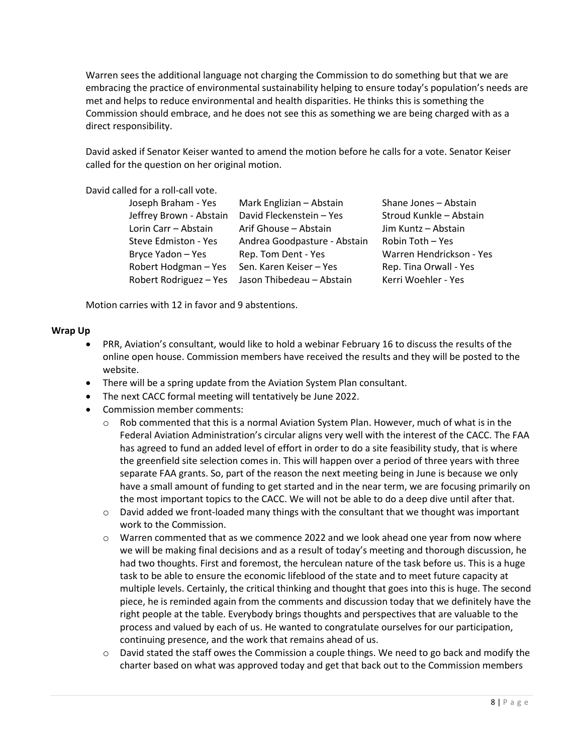Warren sees the additional language not charging the Commission to do something but that we are embracing the practice of environmental sustainability helping to ensure today's population's needs are met and helps to reduce environmental and health disparities. He thinks this is something the Commission should embrace, and he does not see this as something we are being charged with as a direct responsibility.

David asked if Senator Keiser wanted to amend the motion before he calls for a vote. Senator Keiser called for the question on her original motion.

David called for a roll-call vote.

| Joseph Braham - Yes     | Mark Englizian - Abstain     | Shane Jones - Abstain    |
|-------------------------|------------------------------|--------------------------|
| Jeffrey Brown - Abstain | David Fleckenstein - Yes     | Stroud Kunkle - Abstain  |
| Lorin Carr - Abstain    | Arif Ghouse - Abstain        | Jim Kuntz - Abstain      |
| Steve Edmiston - Yes    | Andrea Goodpasture - Abstain | Robin Toth - Yes         |
| Bryce Yadon - Yes       | Rep. Tom Dent - Yes          | Warren Hendrickson - Yes |
| Robert Hodgman - Yes    | Sen. Karen Keiser - Yes      | Rep. Tina Orwall - Yes   |
| Robert Rodriguez - Yes  | Jason Thibedeau - Abstain    | Kerri Woehler - Yes      |

Motion carries with 12 in favor and 9 abstentions.

#### **Wrap Up**

- PRR, Aviation's consultant, would like to hold a webinar February 16 to discuss the results of the online open house. Commission members have received the results and they will be posted to the website.
- There will be a spring update from the Aviation System Plan consultant.
- The next CACC formal meeting will tentatively be June 2022.
- Commission member comments:
	- $\circ$  Rob commented that this is a normal Aviation System Plan. However, much of what is in the Federal Aviation Administration's circular aligns very well with the interest of the CACC. The FAA has agreed to fund an added level of effort in order to do a site feasibility study, that is where the greenfield site selection comes in. This will happen over a period of three years with three separate FAA grants. So, part of the reason the next meeting being in June is because we only have a small amount of funding to get started and in the near term, we are focusing primarily on the most important topics to the CACC. We will not be able to do a deep dive until after that.
	- $\circ$  David added we front-loaded many things with the consultant that we thought was important work to the Commission.
	- $\circ$  Warren commented that as we commence 2022 and we look ahead one year from now where we will be making final decisions and as a result of today's meeting and thorough discussion, he had two thoughts. First and foremost, the herculean nature of the task before us. This is a huge task to be able to ensure the economic lifeblood of the state and to meet future capacity at multiple levels. Certainly, the critical thinking and thought that goes into this is huge. The second piece, he is reminded again from the comments and discussion today that we definitely have the right people at the table. Everybody brings thoughts and perspectives that are valuable to the process and valued by each of us. He wanted to congratulate ourselves for our participation, continuing presence, and the work that remains ahead of us.
	- $\circ$  David stated the staff owes the Commission a couple things. We need to go back and modify the charter based on what was approved today and get that back out to the Commission members